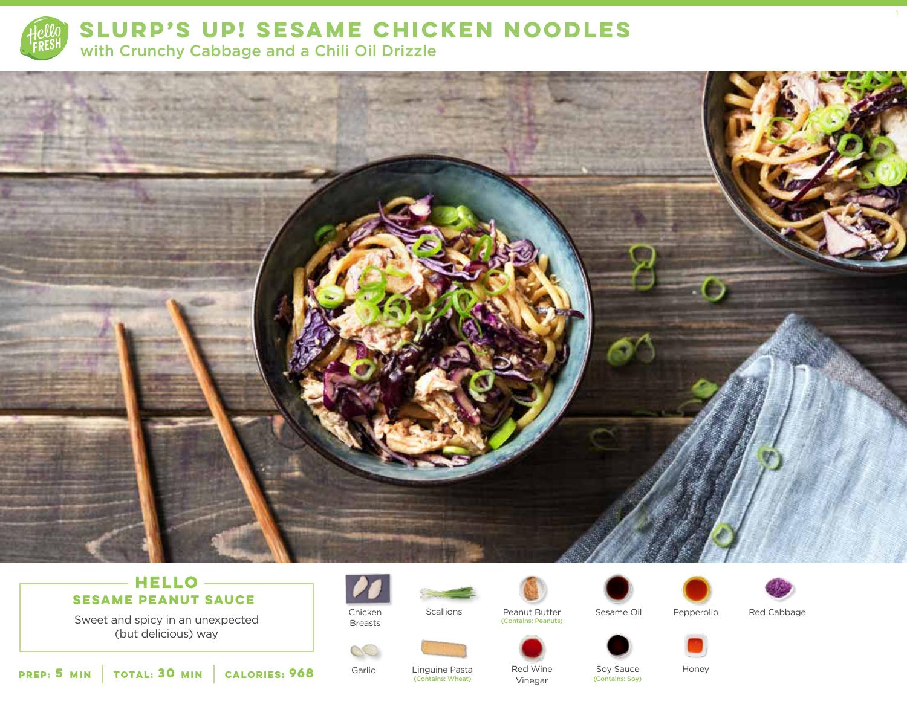

**SLURP'S UP! SESAME CHICKEN NOODLES**  with Crunchy Cabbage and a Chili Oil Drizzle



## **HELLO SESAME PEANUT SAUCE**

Sweet and spicy in an unexpected (but delicious) way



Chicken Breasts

Garlic

S





(Contains: Peanuts)

Vinegar





Red Cabbage

1



Linguine Pasta Soy Sauce Honey

Red Wine

**5 30 MIN MIN CALORIES:CALORIES: 968** Garlic Linguine Pasta